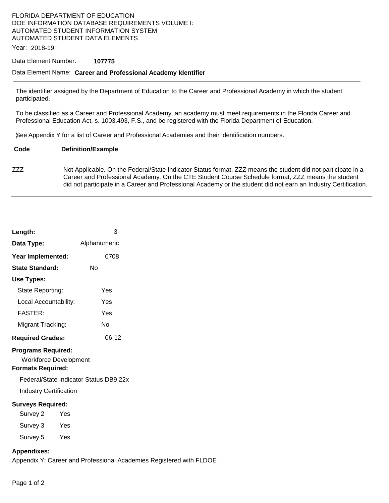# FLORIDA DEPARTMENT OF EDUCATION DOE INFORMATION DATABASE REQUIREMENTS VOLUME I: AUTOMATED STUDENT INFORMATION SYSTEM AUTOMATED STUDENT DATA ELEMENTS

Year: 2018-19

### Data Element Number: **107775**

## Data Element Name: **Career and Professional Academy Identifier**

The identifier assigned by the Department of Education to the Career and Professional Academy in which the student participated.

To be classified as a Career and Professional Academy, an academy must meet requirements in the Florida Career and Professional Education Act, s. 1003.493, F.S., and be registered with the Florida Department of Education.

)See Appendix Y for a list of Career and Professional Academies and their identification numbers.

#### **Code Definition/Example**

ZZZ Not Applicable. On the Federal/State Indicator Status format, ZZZ means the student did not participate in a Career and Professional Academy. On the CTE Student Course Schedule format, ZZZ means the student did not participate in a Career and Professional Academy or the student did not earn an Industry Certification.

| Length:                                                                               | 3                                                                   |  |
|---------------------------------------------------------------------------------------|---------------------------------------------------------------------|--|
| Data Type:                                                                            | Alphanumeric                                                        |  |
| Year Implemented:                                                                     | 0708                                                                |  |
| <b>State Standard:</b>                                                                | <b>No</b>                                                           |  |
| Use Types:                                                                            |                                                                     |  |
| State Reporting:                                                                      | Yes                                                                 |  |
| Local Accountability:                                                                 | Yes                                                                 |  |
| <b>FASTER:</b>                                                                        | Yes                                                                 |  |
| Migrant Tracking:                                                                     | <b>No</b>                                                           |  |
| <b>Required Grades:</b>                                                               | $06-12$                                                             |  |
| <b>Programs Required:</b><br><b>Workforce Development</b><br><b>Formats Required:</b> |                                                                     |  |
| Federal/State Indicator Status DB9 22x                                                |                                                                     |  |
| <b>Industry Certification</b>                                                         |                                                                     |  |
| <b>Surveys Required:</b>                                                              |                                                                     |  |
| Survey 2<br>Yes                                                                       |                                                                     |  |
| Survey 3<br>Yes                                                                       |                                                                     |  |
| Survey 5<br>Yes                                                                       |                                                                     |  |
| <b>Appendixes:</b>                                                                    | Appendix Y: Career and Professional Academies Registered with FLDOE |  |